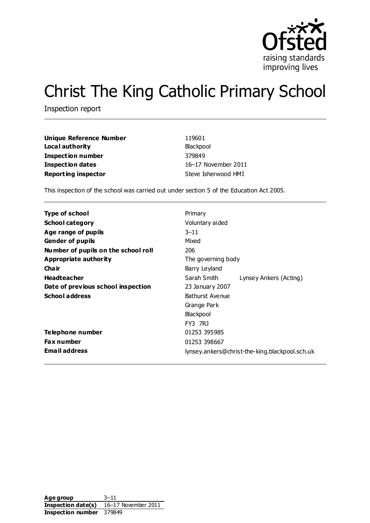

# Christ The King Catholic Primary School

Inspection report

| Unique Reference Number    | 119601              |
|----------------------------|---------------------|
| Local authority            | Blackpool           |
| Inspection number          | 379849              |
| Inspection dates           | 16-17 November 2011 |
| <b>Reporting inspector</b> | Steve Isherwood HMI |

This inspection of the school was carried out under section 5 of the Education Act 2005.

| Type of school                      | Primary                                        |  |  |
|-------------------------------------|------------------------------------------------|--|--|
| <b>School category</b>              | Voluntary aided                                |  |  |
| Age range of pupils                 | $3 - 11$                                       |  |  |
| <b>Gender of pupils</b>             | Mixed                                          |  |  |
| Number of pupils on the school roll | 206                                            |  |  |
| Appropriate authority               | The governing body                             |  |  |
| Cha ir                              | Barry Leyland                                  |  |  |
| <b>Headteacher</b>                  | Sarah Smith<br>Lynsey Ankers (Acting)          |  |  |
| Date of previous school inspection  | 23 January 2007                                |  |  |
| <b>School address</b>               | Bathurst Avenue                                |  |  |
|                                     | Grange Park                                    |  |  |
|                                     | Blackpool                                      |  |  |
|                                     | <b>FY3 7R1</b>                                 |  |  |
| Telephone number                    | 01253 395985                                   |  |  |
| <b>Fax number</b>                   | 01253 398667                                   |  |  |
| <b>Email address</b>                | lynsey.ankers@christ-the-king.blackpool.sch.uk |  |  |

Age group 3–11 **Inspection date(s)** 16–17 November 2011 **Inspection number** 379849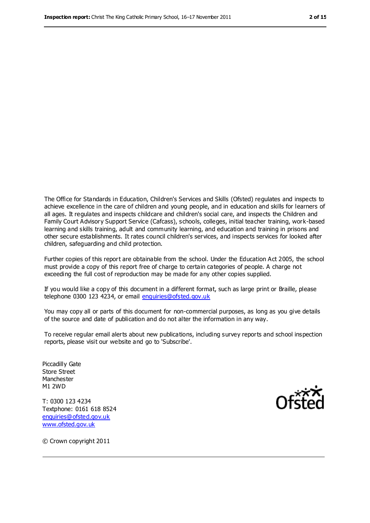The Office for Standards in Education, Children's Services and Skills (Ofsted) regulates and inspects to achieve excellence in the care of children and young people, and in education and skills for learners of all ages. It regulates and inspects childcare and children's social care, and inspects the Children and Family Court Advisory Support Service (Cafcass), schools, colleges, initial teacher training, work-based learning and skills training, adult and community learning, and education and training in prisons and other secure establishments. It rates council children's services, and inspects services for looked after children, safeguarding and child protection.

Further copies of this report are obtainable from the school. Under the Education Act 2005, the school must provide a copy of this report free of charge to certain categories of people. A charge not exceeding the full cost of reproduction may be made for any other copies supplied.

If you would like a copy of this document in a different format, such as large print or Braille, please telephone 0300 123 4234, or email [enquiries@ofsted.gov.uk](mailto:enquiries@ofsted.gov.uk)

You may copy all or parts of this document for non-commercial purposes, as long as you give details of the source and date of publication and do not alter the information in any way.

To receive regular email alerts about new publications, including survey reports and school inspection reports, please visit our website and go to 'Subscribe'.

Piccadilly Gate Store Street Manchester M1 2WD

T: 0300 123 4234 Textphone: 0161 618 8524 [enquiries@ofsted.gov.uk](mailto:enquiries@ofsted.gov.uk) [www.ofsted.gov.uk](http://www.ofsted.gov.uk/)



© Crown copyright 2011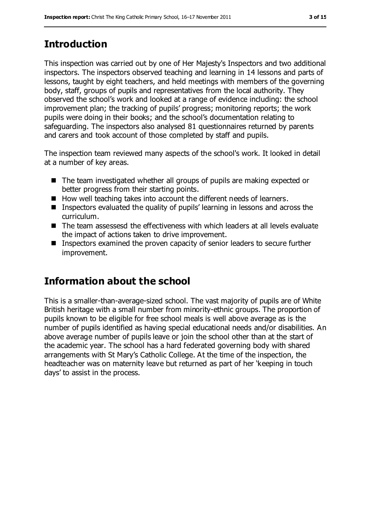## **Introduction**

This inspection was carried out by one of Her Majesty's Inspectors and two additional inspectors. The inspectors observed teaching and learning in 14 lessons and parts of lessons, taught by eight teachers, and held meetings with members of the governing body, staff, groups of pupils and representatives from the local authority. They observed the school's work and looked at a range of evidence including: the school improvement plan; the tracking of pupils' progress; monitoring reports; the work pupils were doing in their books; and the school's documentation relating to safeguarding. The inspectors also analysed 81 questionnaires returned by parents and carers and took account of those completed by staff and pupils.

The inspection team reviewed many aspects of the school's work. It looked in detail at a number of key areas.

- The team investigated whether all groups of pupils are making expected or better progress from their starting points.
- How well teaching takes into account the different needs of learners.
- Inspectors evaluated the quality of pupils' learning in lessons and across the curriculum.
- The team assessesd the effectiveness with which leaders at all levels evaluate the impact of actions taken to drive improvement.
- Inspectors examined the proven capacity of senior leaders to secure further improvement.

## **Information about the school**

This is a smaller-than-average-sized school. The vast majority of pupils are of White British heritage with a small number from minority-ethnic groups. The proportion of pupils known to be eligible for free school meals is well above average as is the number of pupils identified as having special educational needs and/or disabilities. An above average number of pupils leave or join the school other than at the start of the academic year. The school has a hard federated governing body with shared arrangements with St Mary's Catholic College. At the time of the inspection, the headteacher was on maternity leave but returned as part of her 'keeping in touch days' to assist in the process.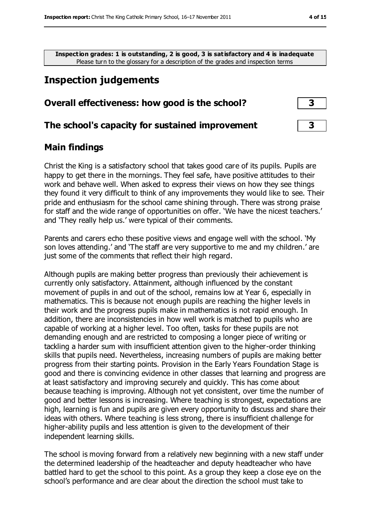**Inspection grades: 1 is outstanding, 2 is good, 3 is satisfactory and 4 is inadequate** Please turn to the glossary for a description of the grades and inspection terms

## **Inspection judgements**

#### **Overall effectiveness: how good is the school? 3**

#### **The school's capacity for sustained improvement 3**

#### **Main findings**

Christ the King is a satisfactory school that takes good care of its pupils. Pupils are happy to get there in the mornings. They feel safe, have positive attitudes to their work and behave well. When asked to express their views on how they see things they found it very difficult to think of any improvements they would like to see. Their pride and enthusiasm for the school came shining through. There was strong praise for staff and the wide range of opportunities on offer. 'We have the nicest teachers.' and 'They really help us.' were typical of their comments.

Parents and carers echo these positive views and engage well with the school. 'My son loves attending.' and 'The staff are very supportive to me and my children.' are just some of the comments that reflect their high regard.

Although pupils are making better progress than previously their achievement is currently only satisfactory. Attainment, although influenced by the constant movement of pupils in and out of the school, remains low at Year 6, especially in mathematics. This is because not enough pupils are reaching the higher levels in their work and the progress pupils make in mathematics is not rapid enough. In addition, there are inconsistencies in how well work is matched to pupils who are capable of working at a higher level. Too often, tasks for these pupils are not demanding enough and are restricted to composing a longer piece of writing or tackling a harder sum with insufficient attention given to the higher-order thinking skills that pupils need. Nevertheless, increasing numbers of pupils are making better progress from their starting points. Provision in the Early Years Foundation Stage is good and there is convincing evidence in other classes that learning and progress are at least satisfactory and improving securely and quickly. This has come about because teaching is improving. Although not yet consistent, over time the number of good and better lessons is increasing. Where teaching is strongest, expectations are high, learning is fun and pupils are given every opportunity to discuss and share their ideas with others. Where teaching is less strong, there is insufficient challenge for higher-ability pupils and less attention is given to the development of their independent learning skills.

The school is moving forward from a relatively new beginning with a new staff under the determined leadership of the headteacher and deputy headteacher who have battled hard to get the school to this point. As a group they keep a close eye on the school's performance and are clear about the direction the school must take to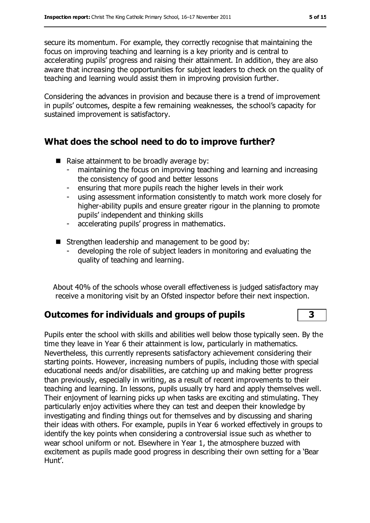secure its momentum. For example, they correctly recognise that maintaining the focus on improving teaching and learning is a key priority and is central to accelerating pupils' progress and raising their attainment. In addition, they are also aware that increasing the opportunities for subject leaders to check on the quality of teaching and learning would assist them in improving provision further.

Considering the advances in provision and because there is a trend of improvement in pupils' outcomes, despite a few remaining weaknesses, the school's capacity for sustained improvement is satisfactory.

#### **What does the school need to do to improve further?**

- Raise attainment to be broadly average by:
	- maintaining the focus on improving teaching and learning and increasing the consistency of good and better lessons
	- ensuring that more pupils reach the higher levels in their work
	- using assessment information consistently to match work more closely for higher-ability pupils and ensure greater rigour in the planning to promote pupils' independent and thinking skills
	- accelerating pupils' progress in mathematics.
- Strengthen leadership and management to be good by:
	- developing the role of subject leaders in monitoring and evaluating the quality of teaching and learning.

About 40% of the schools whose overall effectiveness is judged satisfactory may receive a monitoring visit by an Ofsted inspector before their next inspection.

#### **Outcomes for individuals and groups of pupils 3**

Pupils enter the school with skills and abilities well below those typically seen. By the time they leave in Year 6 their attainment is low, particularly in mathematics. Nevertheless, this currently represents satisfactory achievement considering their starting points. However, increasing numbers of pupils, including those with special educational needs and/or disabilities, are catching up and making better progress than previously, especially in writing, as a result of recent improvements to their teaching and learning. In lessons, pupils usually try hard and apply themselves well. Their enjoyment of learning picks up when tasks are exciting and stimulating. They particularly enjoy activities where they can test and deepen their knowledge by investigating and finding things out for themselves and by discussing and sharing their ideas with others. For example, pupils in Year 6 worked effectively in groups to identify the key points when considering a controversial issue such as whether to wear school uniform or not. Elsewhere in Year 1, the atmosphere buzzed with excitement as pupils made good progress in describing their own setting for a 'Bear Hunt'.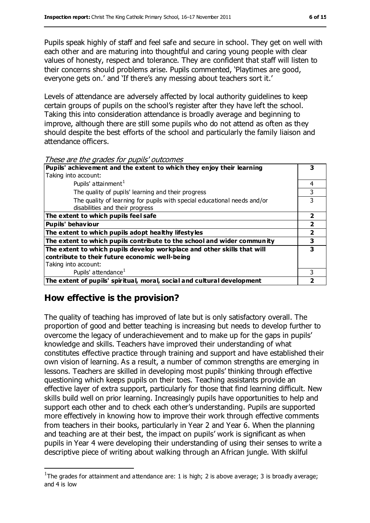Pupils speak highly of staff and feel safe and secure in school. They get on well with each other and are maturing into thoughtful and caring young people with clear values of honesty, respect and tolerance. They are confident that staff will listen to their concerns should problems arise. Pupils commented, 'Playtimes are good, everyone gets on.' and 'If there's any messing about teachers sort it.'

Levels of attendance are adversely affected by local authority guidelines to keep certain groups of pupils on the school's register after they have left the school. Taking this into consideration attendance is broadly average and beginning to improve, although there are still some pupils who do not attend as often as they should despite the best efforts of the school and particularly the family liaison and attendance officers.

These are the grades for pupils' outcomes

| Pupils' achievement and the extent to which they enjoy their learning    |   |
|--------------------------------------------------------------------------|---|
| Taking into account:                                                     |   |
| Pupils' attainment <sup>1</sup>                                          | 4 |
| The quality of pupils' learning and their progress                       |   |
| The quality of learning for pupils with special educational needs and/or |   |
| disabilities and their progress                                          |   |
| The extent to which pupils feel safe                                     | 2 |
| <b>Pupils' behaviour</b>                                                 |   |
| The extent to which pupils adopt healthy lifestyles                      | 2 |
| The extent to which pupils contribute to the school and wider community  | з |
| The extent to which pupils develop workplace and other skills that will  | 3 |
| contribute to their future economic well-being                           |   |
| Taking into account:                                                     |   |
| Pupils' attendance <sup>1</sup>                                          | 3 |
| The extent of pupils' spiritual, moral, social and cultural development  |   |

## **How effective is the provision?**

 $\overline{a}$ 

The quality of teaching has improved of late but is only satisfactory overall. The proportion of good and better teaching is increasing but needs to develop further to overcome the legacy of underachievement and to make up for the gaps in pupils' knowledge and skills. Teachers have improved their understanding of what constitutes effective practice through training and support and have established their own vision of learning. As a result, a number of common strengths are emerging in lessons. Teachers are skilled in developing most pupils' thinking through effective questioning which keeps pupils on their toes. Teaching assistants provide an effective layer of extra support, particularly for those that find learning difficult. New skills build well on prior learning. Increasingly pupils have opportunities to help and support each other and to check each other's understanding. Pupils are supported more effectively in knowing how to improve their work through effective comments from teachers in their books, particularly in Year 2 and Year 6. When the planning and teaching are at their best, the impact on pupils' work is significant as when pupils in Year 4 were developing their understanding of using their senses to write a descriptive piece of writing about walking through an African jungle. With skilful

<sup>&</sup>lt;sup>1</sup>The grades for attainment and attendance are: 1 is high; 2 is above average; 3 is broadly average; and 4 is low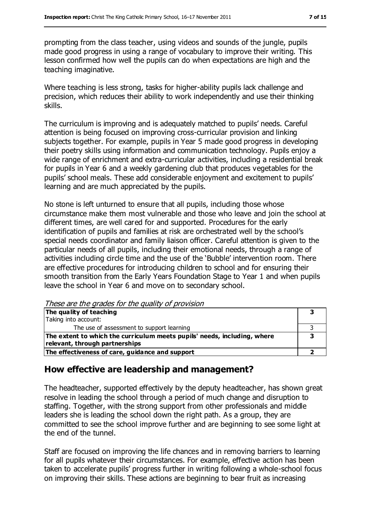prompting from the class teacher, using videos and sounds of the jungle, pupils made good progress in using a range of vocabulary to improve their writing. This lesson confirmed how well the pupils can do when expectations are high and the teaching imaginative.

Where teaching is less strong, tasks for higher-ability pupils lack challenge and precision, which reduces their ability to work independently and use their thinking skills.

The curriculum is improving and is adequately matched to pupils' needs. Careful attention is being focused on improving cross-curricular provision and linking subjects together. For example, pupils in Year 5 made good progress in developing their poetry skills using information and communication technology. Pupils enjoy a wide range of enrichment and extra-curricular activities, including a residential break for pupils in Year 6 and a weekly gardening club that produces vegetables for the pupils' school meals. These add considerable enjoyment and excitement to pupils' learning and are much appreciated by the pupils.

No stone is left unturned to ensure that all pupils, including those whose circumstance make them most vulnerable and those who leave and join the school at different times, are well cared for and supported. Procedures for the early identification of pupils and families at risk are orchestrated well by the school's special needs coordinator and family liaison officer. Careful attention is given to the particular needs of all pupils, including their emotional needs, through a range of activities including circle time and the use of the 'Bubble' intervention room. There are effective procedures for introducing children to school and for ensuring their smooth transition from the Early Years Foundation Stage to Year 1 and when pupils leave the school in Year 6 and move on to secondary school.

These are the grades for the quality of provision

| The quality of teaching                                                  |  |
|--------------------------------------------------------------------------|--|
| Taking into account:                                                     |  |
| The use of assessment to support learning                                |  |
| The extent to which the curriculum meets pupils' needs, including, where |  |
| relevant, through partnerships                                           |  |
| The effectiveness of care, guidance and support                          |  |

#### **How effective are leadership and management?**

The headteacher, supported effectively by the deputy headteacher, has shown great resolve in leading the school through a period of much change and disruption to staffing. Together, with the strong support from other professionals and middle leaders she is leading the school down the right path. As a group, they are committed to see the school improve further and are beginning to see some light at the end of the tunnel.

Staff are focused on improving the life chances and in removing barriers to learning for all pupils whatever their circumstances. For example, effective action has been taken to accelerate pupils' progress further in writing following a whole-school focus on improving their skills. These actions are beginning to bear fruit as increasing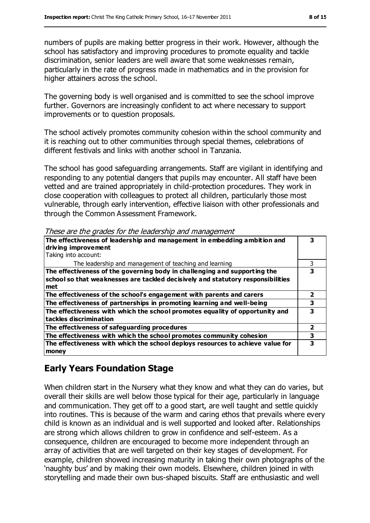numbers of pupils are making better progress in their work. However, although the school has satisfactory and improving procedures to promote equality and tackle discrimination, senior leaders are well aware that some weaknesses remain, particularly in the rate of progress made in mathematics and in the provision for higher attainers across the school.

The governing body is well organised and is committed to see the school improve further. Governors are increasingly confident to act where necessary to support improvements or to question proposals.

The school actively promotes community cohesion within the school community and it is reaching out to other communities through special themes, celebrations of different festivals and links with another school in Tanzania.

The school has good safeguarding arrangements. Staff are vigilant in identifying and responding to any potential dangers that pupils may encounter. All staff have been vetted and are trained appropriately in child-protection procedures. They work in close cooperation with colleagues to protect all children, particularly those most vulnerable, through early intervention, effective liaison with other professionals and through the Common Assessment Framework.

| The effectiveness of leadership and management in embedding ambition and<br>driving improvement<br>Taking into account:                                             |   |
|---------------------------------------------------------------------------------------------------------------------------------------------------------------------|---|
| The leadership and management of teaching and learning                                                                                                              |   |
| The effectiveness of the governing body in challenging and supporting the<br>school so that weaknesses are tackled decisively and statutory responsibilities<br>met |   |
| The effectiveness of the school's engagement with parents and carers                                                                                                |   |
| The effectiveness of partnerships in promoting learning and well-being                                                                                              | 3 |
| The effectiveness with which the school promotes equality of opportunity and<br>tackles discrimination                                                              | 3 |
| The effectiveness of safeguarding procedures                                                                                                                        | 2 |
| The effectiveness with which the school promotes community cohesion                                                                                                 | 3 |
| The effectiveness with which the school deploys resources to achieve value for<br>money                                                                             | 3 |

These are the grades for the leadership and management

## **Early Years Foundation Stage**

When children start in the Nursery what they know and what they can do varies, but overall their skills are well below those typical for their age, particularly in language and communication. They get off to a good start, are well taught and settle quickly into routines. This is because of the warm and caring ethos that prevails where every child is known as an individual and is well supported and looked after. Relationships are strong which allows children to grow in confidence and self-esteem. As a consequence, children are encouraged to become more independent through an array of activities that are well targeted on their key stages of development. For example, children showed increasing maturity in taking their own photographs of the 'naughty bus' and by making their own models. Elsewhere, children joined in with storytelling and made their own bus-shaped biscuits. Staff are enthusiastic and well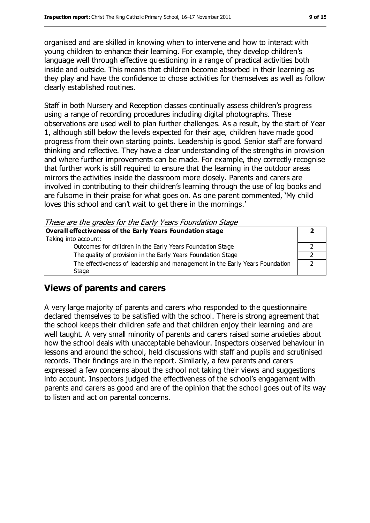organised and are skilled in knowing when to intervene and how to interact with young children to enhance their learning. For example, they develop children's language well through effective questioning in a range of practical activities both inside and outside. This means that children become absorbed in their learning as they play and have the confidence to chose activities for themselves as well as follow clearly established routines.

Staff in both Nursery and Reception classes continually assess children's progress using a range of recording procedures including digital photographs. These observations are used well to plan further challenges. As a result, by the start of Year 1, although still below the levels expected for their age, children have made good progress from their own starting points. Leadership is good. Senior staff are forward thinking and reflective. They have a clear understanding of the strengths in provision and where further improvements can be made. For example, they correctly recognise that further work is still required to ensure that the learning in the outdoor areas mirrors the activities inside the classroom more closely. Parents and carers are involved in contributing to their children's learning through the use of log books and are fulsome in their praise for what goes on. As one parent commented, 'My child loves this school and can't wait to get there in the mornings.'

These are the grades for the Early Years Foundation Stage

| Overall effectiveness of the Early Years Foundation stage                    |  |
|------------------------------------------------------------------------------|--|
| Taking into account:                                                         |  |
| Outcomes for children in the Early Years Foundation Stage                    |  |
| The quality of provision in the Early Years Foundation Stage                 |  |
| The effectiveness of leadership and management in the Early Years Foundation |  |
| Stage                                                                        |  |
|                                                                              |  |

## **Views of parents and carers**

A very large majority of parents and carers who responded to the questionnaire declared themselves to be satisfied with the school. There is strong agreement that the school keeps their children safe and that children enjoy their learning and are well taught. A very small minority of parents and carers raised some anxieties about how the school deals with unacceptable behaviour. Inspectors observed behaviour in lessons and around the school, held discussions with staff and pupils and scrutinised records. Their findings are in the report. Similarly, a few parents and carers expressed a few concerns about the school not taking their views and suggestions into account. Inspectors judged the effectiveness of the school's engagement with parents and carers as good and are of the opinion that the school goes out of its way to listen and act on parental concerns.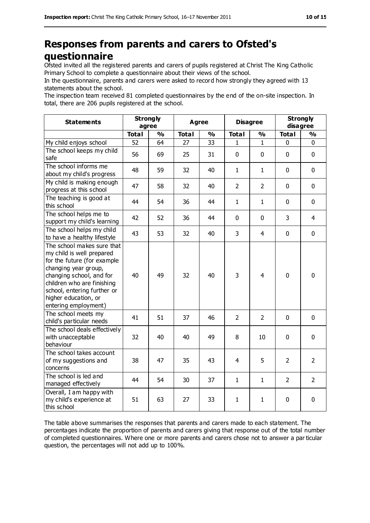## **Responses from parents and carers to Ofsted's questionnaire**

Ofsted invited all the registered parents and carers of pupils registered at Christ The King Catholic Primary School to complete a questionnaire about their views of the school.

In the questionnaire, parents and carers were asked to record how strongly they agreed with 13 statements about the school.

The inspection team received 81 completed questionnaires by the end of the on-site inspection. In total, there are 206 pupils registered at the school.

| <b>Statements</b>                                                                                                                                                                                                                                       | <b>Strongly</b><br>agree |               | <b>Agree</b> |               | <b>Disagree</b> |                | <b>Strongly</b><br>disagree |                |
|---------------------------------------------------------------------------------------------------------------------------------------------------------------------------------------------------------------------------------------------------------|--------------------------|---------------|--------------|---------------|-----------------|----------------|-----------------------------|----------------|
|                                                                                                                                                                                                                                                         | <b>Total</b>             | $\frac{9}{6}$ | <b>Total</b> | $\frac{1}{2}$ | <b>Total</b>    | $\frac{1}{2}$  | <b>Total</b>                | $\frac{9}{6}$  |
| My child enjoys school                                                                                                                                                                                                                                  | 52                       | 64            | 27           | 33            | 1               | 1              | 0                           | 0              |
| The school keeps my child<br>safe                                                                                                                                                                                                                       | 56                       | 69            | 25           | 31            | 0               | $\mathbf 0$    | $\mathbf 0$                 | $\mathbf 0$    |
| The school informs me<br>about my child's progress                                                                                                                                                                                                      | 48                       | 59            | 32           | 40            | 1               | $\mathbf{1}$   | $\mathbf 0$                 | $\mathbf 0$    |
| My child is making enough<br>progress at this school                                                                                                                                                                                                    | 47                       | 58            | 32           | 40            | $\overline{2}$  | $\overline{2}$ | $\mathbf 0$                 | $\mathbf 0$    |
| The teaching is good at<br>this school                                                                                                                                                                                                                  | 44                       | 54            | 36           | 44            | $\mathbf{1}$    | $\mathbf{1}$   | $\mathbf 0$                 | $\mathbf 0$    |
| The school helps me to<br>support my child's learning                                                                                                                                                                                                   | 42                       | 52            | 36           | 44            | 0               | $\mathbf 0$    | 3                           | $\overline{4}$ |
| The school helps my child<br>to have a healthy lifestyle                                                                                                                                                                                                | 43                       | 53            | 32           | 40            | 3               | $\overline{4}$ | $\mathbf 0$                 | $\mathbf 0$    |
| The school makes sure that<br>my child is well prepared<br>for the future (for example<br>changing year group,<br>changing school, and for<br>children who are finishing<br>school, entering further or<br>higher education, or<br>entering employment) | 40                       | 49            | 32           | 40            | 3               | 4              | $\mathbf 0$                 | $\mathbf 0$    |
| The school meets my<br>child's particular needs                                                                                                                                                                                                         | 41                       | 51            | 37           | 46            | $\overline{2}$  | $\overline{2}$ | $\mathbf 0$                 | $\mathbf 0$    |
| The school deals effectively<br>with unacceptable<br>behaviour                                                                                                                                                                                          | 32                       | 40            | 40           | 49            | 8               | 10             | $\mathbf 0$                 | $\mathbf 0$    |
| The school takes account<br>of my suggestions and<br>concerns                                                                                                                                                                                           | 38                       | 47            | 35           | 43            | $\overline{4}$  | 5              | $\overline{2}$              | $\overline{2}$ |
| The school is led and<br>managed effectively                                                                                                                                                                                                            | 44                       | 54            | 30           | 37            | $\mathbf{1}$    | $\mathbf{1}$   | 2                           | $\overline{2}$ |
| Overall, I am happy with<br>my child's experience at<br>this school                                                                                                                                                                                     | 51                       | 63            | 27           | 33            | $\mathbf{1}$    | $\mathbf{1}$   | $\pmb{0}$                   | $\mathbf 0$    |

The table above summarises the responses that parents and carers made to each statement. The percentages indicate the proportion of parents and carers giving that response out of the total number of completed questionnaires. Where one or more parents and carers chose not to answer a par ticular question, the percentages will not add up to 100%.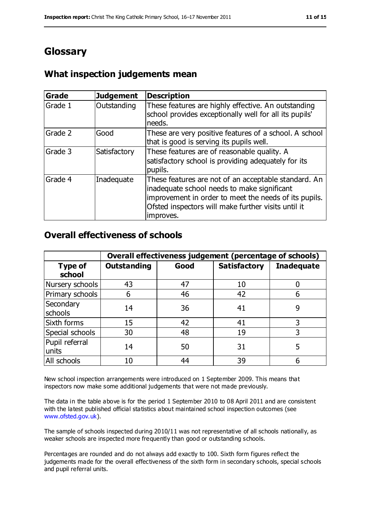## **Glossary**

#### **What inspection judgements mean**

| <b>Grade</b> | <b>Judgement</b> | <b>Description</b>                                                                                                                                                                                                               |
|--------------|------------------|----------------------------------------------------------------------------------------------------------------------------------------------------------------------------------------------------------------------------------|
| Grade 1      | Outstanding      | These features are highly effective. An outstanding<br>school provides exceptionally well for all its pupils'<br>needs.                                                                                                          |
| Grade 2      | Good             | These are very positive features of a school. A school<br>that is good is serving its pupils well.                                                                                                                               |
| Grade 3      | Satisfactory     | These features are of reasonable quality. A<br>satisfactory school is providing adequately for its<br>pupils.                                                                                                                    |
| Grade 4      | Inadequate       | These features are not of an acceptable standard. An<br>inadequate school needs to make significant<br>improvement in order to meet the needs of its pupils.<br>Ofsted inspectors will make further visits until it<br>improves. |

#### **Overall effectiveness of schools**

|                          | Overall effectiveness judgement (percentage of schools) |      |                     |                   |
|--------------------------|---------------------------------------------------------|------|---------------------|-------------------|
| <b>Type of</b><br>school | <b>Outstanding</b>                                      | Good | <b>Satisfactory</b> | <b>Inadequate</b> |
| Nursery schools          | 43                                                      | 47   | 10                  |                   |
| Primary schools          | 6                                                       | 46   | 42                  |                   |
| Secondary<br>schools     | 14                                                      | 36   | 41                  | 9                 |
| Sixth forms              | 15                                                      | 42   | 41                  | 3                 |
| Special schools          | 30                                                      | 48   | 19                  | 3                 |
| Pupil referral<br>units  | 14                                                      | 50   | 31                  | 5                 |
| All schools              | 10                                                      | 44   | 39                  |                   |

New school inspection arrangements were introduced on 1 September 2009. This means that inspectors now make some additional judgements that were not made previously.

The data in the table above is for the period 1 September 2010 to 08 April 2011 and are consistent with the latest published official statistics about maintained school inspection outcomes (see [www.ofsted.gov.uk\)](http://www.ofsted.gov.uk/).

The sample of schools inspected during 2010/11 was not representative of all schools nationally, as weaker schools are inspected more frequently than good or outstanding schools.

Percentages are rounded and do not always add exactly to 100. Sixth form figures reflect the judgements made for the overall effectiveness of the sixth form in secondary schools, special schools and pupil referral units.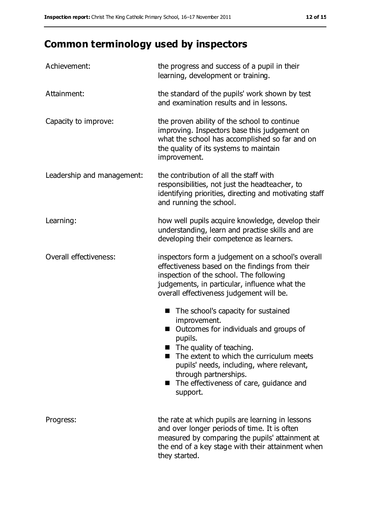# **Common terminology used by inspectors**

| Achievement:               | the progress and success of a pupil in their<br>learning, development or training.                                                                                                                                                                                                                                    |  |  |
|----------------------------|-----------------------------------------------------------------------------------------------------------------------------------------------------------------------------------------------------------------------------------------------------------------------------------------------------------------------|--|--|
| Attainment:                | the standard of the pupils' work shown by test<br>and examination results and in lessons.                                                                                                                                                                                                                             |  |  |
| Capacity to improve:       | the proven ability of the school to continue<br>improving. Inspectors base this judgement on<br>what the school has accomplished so far and on<br>the quality of its systems to maintain<br>improvement.                                                                                                              |  |  |
| Leadership and management: | the contribution of all the staff with<br>responsibilities, not just the headteacher, to<br>identifying priorities, directing and motivating staff<br>and running the school.                                                                                                                                         |  |  |
| Learning:                  | how well pupils acquire knowledge, develop their<br>understanding, learn and practise skills and are<br>developing their competence as learners.                                                                                                                                                                      |  |  |
| Overall effectiveness:     | inspectors form a judgement on a school's overall<br>effectiveness based on the findings from their<br>inspection of the school. The following<br>judgements, in particular, influence what the<br>overall effectiveness judgement will be.                                                                           |  |  |
|                            | The school's capacity for sustained<br>improvement.<br>Outcomes for individuals and groups of<br>pupils.<br>■ The quality of teaching.<br>The extent to which the curriculum meets<br>pupils' needs, including, where relevant,<br>through partnerships.<br>The effectiveness of care, guidance and<br>۰.<br>support. |  |  |
| Progress:                  | the rate at which pupils are learning in lessons<br>and over longer periods of time. It is often<br>measured by comparing the pupils' attainment at<br>the end of a key stage with their attainment when<br>they started.                                                                                             |  |  |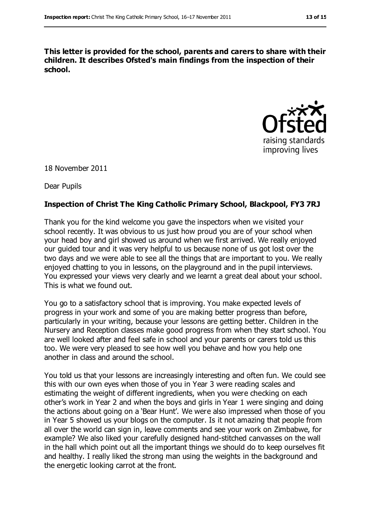**This letter is provided for the school, parents and carers to share with their children. It describes Ofsted's main findings from the inspection of their school.**



18 November 2011

Dear Pupils

#### **Inspection of Christ The King Catholic Primary School, Blackpool, FY3 7RJ**

Thank you for the kind welcome you gave the inspectors when we visited your school recently. It was obvious to us just how proud you are of your school when your head boy and girl showed us around when we first arrived. We really enjoyed our guided tour and it was very helpful to us because none of us got lost over the two days and we were able to see all the things that are important to you. We really enjoyed chatting to you in lessons, on the playground and in the pupil interviews. You expressed your views very clearly and we learnt a great deal about your school. This is what we found out.

You go to a satisfactory school that is improving. You make expected levels of progress in your work and some of you are making better progress than before, particularly in your writing, because your lessons are getting better. Children in the Nursery and Reception classes make good progress from when they start school. You are well looked after and feel safe in school and your parents or carers told us this too. We were very pleased to see how well you behave and how you help one another in class and around the school.

You told us that your lessons are increasingly interesting and often fun. We could see this with our own eyes when those of you in Year 3 were reading scales and estimating the weight of different ingredients, when you were checking on each other's work in Year 2 and when the boys and girls in Year 1 were singing and doing the actions about going on a 'Bear Hunt'. We were also impressed when those of you in Year 5 showed us your blogs on the computer. Is it not amazing that people from all over the world can sign in, leave comments and see your work on Zimbabwe, for example? We also liked your carefully designed hand-stitched canvasses on the wall in the hall which point out all the important things we should do to keep ourselves fit and healthy. I really liked the strong man using the weights in the background and the energetic looking carrot at the front.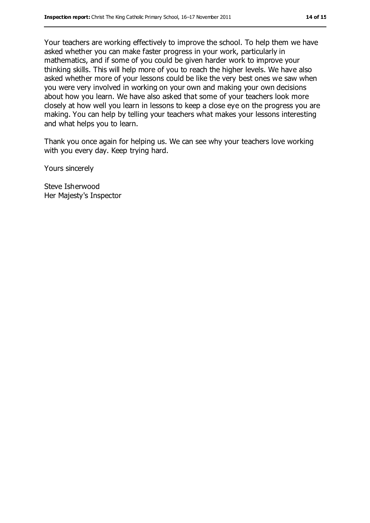Your teachers are working effectively to improve the school. To help them we have asked whether you can make faster progress in your work, particularly in mathematics, and if some of you could be given harder work to improve your thinking skills. This will help more of you to reach the higher levels. We have also asked whether more of your lessons could be like the very best ones we saw when you were very involved in working on your own and making your own decisions about how you learn. We have also asked that some of your teachers look more closely at how well you learn in lessons to keep a close eye on the progress you are making. You can help by telling your teachers what makes your lessons interesting and what helps you to learn.

Thank you once again for helping us. We can see why your teachers love working with you every day. Keep trying hard.

Yours sincerely

Steve Isherwood Her Majesty's Inspector